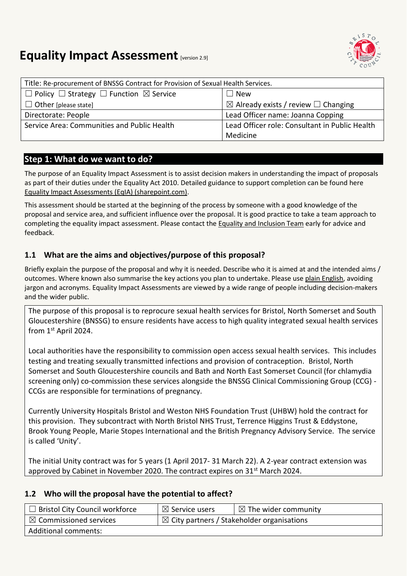

# **Equality Impact Assessment [version 2.9]**

| Title: Re-procurement of BNSSG Contract for Provision of Sexual Health Services. |                                                     |  |
|----------------------------------------------------------------------------------|-----------------------------------------------------|--|
| $\Box$ Policy $\Box$ Strategy $\Box$ Function $\boxtimes$ Service                | New                                                 |  |
| $\Box$ Other [please state]                                                      | $\boxtimes$ Already exists / review $\Box$ Changing |  |
| Directorate: People                                                              | Lead Officer name: Joanna Copping                   |  |
| Service Area: Communities and Public Health                                      | Lead Officer role: Consultant in Public Health      |  |
|                                                                                  | Medicine                                            |  |

# **Step 1: What do we want to do?**

The purpose of an Equality Impact Assessment is to assist decision makers in understanding the impact of proposals as part of their duties under the Equality Act 2010. Detailed guidance to support completion can be found here [Equality Impact Assessments \(EqIA\) \(sharepoint.com\).](https://bristolcouncil.sharepoint.com/sites/Corporate/SitePages/equality-impact-assessments.aspx) 

This assessment should be started at the beginning of the process by someone with a good knowledge of the proposal and service area, and sufficient influence over the proposal. It is good practice to take a team approach to completing the equality impact assessment. Please contact the [Equality and Inclusion Team](mailto:equalities.team@bristol.gov.uk) early for advice and feedback.

# **1.1 What are the aims and objectives/purpose of this proposal?**

Briefly explain the purpose of the proposal and why it is needed. Describe who it is aimed at and the intended aims / outcomes. Where known also summarise the key actions you plan to undertake. Please us[e plain English,](http://www.plainenglish.co.uk/) avoiding jargon and acronyms. Equality Impact Assessments are viewed by a wide range of people including decision-makers and the wider public.

The purpose of this proposal is to reprocure sexual health services for Bristol, North Somerset and South Gloucestershire (BNSSG) to ensure residents have access to high quality integrated sexual health services from 1st April 2024.

Local authorities have the responsibility to commission open access sexual health services. This includes testing and treating sexually transmitted infections and provision of contraception. Bristol, North Somerset and South Gloucestershire councils and Bath and North East Somerset Council (for chlamydia screening only) co-commission these services alongside the BNSSG Clinical Commissioning Group (CCG) - CCGs are responsible for terminations of pregnancy.

Currently University Hospitals Bristol and Weston NHS Foundation Trust (UHBW) hold the contract for this provision. They subcontract with North Bristol NHS Trust, Terrence Higgins Trust & Eddystone, Brook Young People, Marie Stopes International and the British Pregnancy Advisory Service. The service is called 'Unity'.

The initial Unity contract was for 5 years (1 April 2017- 31 March 22). A 2-year contract extension was approved by Cabinet in November 2020. The contract expires on 31<sup>st</sup> March 2024.

## **1.2 Who will the proposal have the potential to affect?**

| $\Box$ Bristol City Council workforce | $\boxtimes$ Service users                             | $\boxtimes$ The wider community |
|---------------------------------------|-------------------------------------------------------|---------------------------------|
| $\boxtimes$ Commissioned services     | $\boxtimes$ City partners / Stakeholder organisations |                                 |
| <b>Additional comments:</b>           |                                                       |                                 |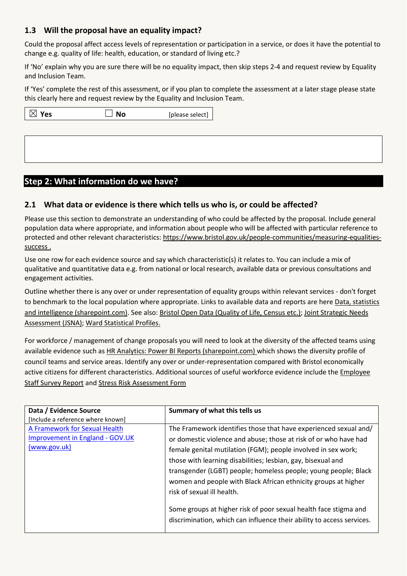# **1.3 Will the proposal have an equality impact?**

Could the proposal affect access levels of representation or participation in a service, or does it have the potential to change e.g. quality of life: health, education, or standard of living etc.?

If 'No' explain why you are sure there will be no equality impact, then skip steps 2-4 and request review by Equality and Inclusion Team.

If 'Yes' complete the rest of this assessment, or if you plan to complete the assessment at a later stage please state this clearly here and request review by the [Equality and Inclusion Team.](mailto:equalities.team@bristol.gov.uk)

| $\boxtimes$ Yes | <b>No</b> | [please select] |  |
|-----------------|-----------|-----------------|--|
|                 |           |                 |  |
|                 |           |                 |  |
|                 |           |                 |  |

# **Step 2: What information do we have?**

#### **2.1 What data or evidence is there which tells us who is, or could be affected?**

Please use this section to demonstrate an understanding of who could be affected by the proposal. Include general population data where appropriate, and information about people who will be affected with particular reference to protected and other relevant characteristics: [https://www.bristol.gov.uk/people-communities/measuring-equalities](https://www.bristol.gov.uk/people-communities/measuring-equalities-success)[success](https://www.bristol.gov.uk/people-communities/measuring-equalities-success) .

Use one row for each evidence source and say which characteristic(s) it relates to. You can include a mix of qualitative and quantitative data e.g. from national or local research, available data or previous consultations and engagement activities.

Outline whether there is any over or under representation of equality groups within relevant services - don't forget to benchmark to the local population where appropriate. Links to available data and reports are here Data, statistics [and intelligence \(sharepoint.com\).](https://bristolcouncil.sharepoint.com/sites/Corporate/SitePages/data-statistics-and-intelligence.aspx) See also: [Bristol Open Data \(Quality of Life, Census etc.\);](https://bristol.opendatasoft.com/explore/?sort=modified&q=equalities) [Joint Strategic Needs](https://www.bristol.gov.uk/policies-plans-strategies/joint-strategic-needs-assessment)  [Assessment](https://www.bristol.gov.uk/policies-plans-strategies/joint-strategic-needs-assessment) (JSNA); [Ward Statistical Profiles.](https://www.bristol.gov.uk/statistics-census-information/new-wards-data-profiles)

For workforce / management of change proposals you will need to look at the diversity of the affected teams using available evidence such as [HR Analytics: Power BI Reports \(sharepoint.com\)](https://eur03.safelinks.protection.outlook.com/?url=https%3A%2F%2Fbristolcouncil.sharepoint.com%2Fsites%2FHR%2FSitePages%2Fhr-reports.aspx&data=04%7C01%7C%7C90358974d66d41257ac108d8deebfdde%7C6378a7a50f214482aee0897eb7de331f%7C0%7C0%7C637504452456282778%7CUnknown%7CTWFpbGZsb3d8eyJWIjoiMC4wLjAwMDAiLCJQIjoiV2luMzIiLCJBTiI6Ik1haWwiLCJXVCI6Mn0%3D%7C1000&sdata=6kXYSnoOXQ1Yn%2Be9ZRGlZULZJYwfQ3jygxGLOPN%2BccU%3D&reserved=0) which shows the diversity profile of council teams and service areas. Identify any over or under-representation compared with Bristol economically active citizens for different characteristics. Additional sources of useful workforce evidence include the [Employee](https://bristolcouncil.sharepoint.com/sites/HR/SitePages/hr-reports.aspx)  [Staff Survey Report](https://bristolcouncil.sharepoint.com/sites/HR/SitePages/hr-reports.aspx) and [Stress Risk Assessment Form](https://bristolcouncil.sharepoint.com/:w:/r/sites/HealthSafetyandWellbeing/_layouts/15/Doc.aspx?sourcedoc=%7B813AE494-A25E-4C9C-A7F7-1F6A48883800%7D&file=Stress%20risk%20assessment%20form.doc&action=default&mobileredirect=true&DefaultItemOpen=1)

| Data / Evidence Source                 | Summary of what this tells us                                         |
|----------------------------------------|-----------------------------------------------------------------------|
| [Include a reference where known]      |                                                                       |
| A Framework for Sexual Health          | The Framework identifies those that have experienced sexual and/      |
| <b>Improvement in England - GOV.UK</b> | or domestic violence and abuse; those at risk of or who have had      |
| (www.gov.uk)                           | female genital mutilation (FGM); people involved in sex work;         |
|                                        | those with learning disabilities; lesbian, gay, bisexual and          |
|                                        | transgender (LGBT) people; homeless people; young people; Black       |
|                                        | women and people with Black African ethnicity groups at higher        |
|                                        | risk of sexual ill health.                                            |
|                                        |                                                                       |
|                                        | Some groups at higher risk of poor sexual health face stigma and      |
|                                        | discrimination, which can influence their ability to access services. |
|                                        |                                                                       |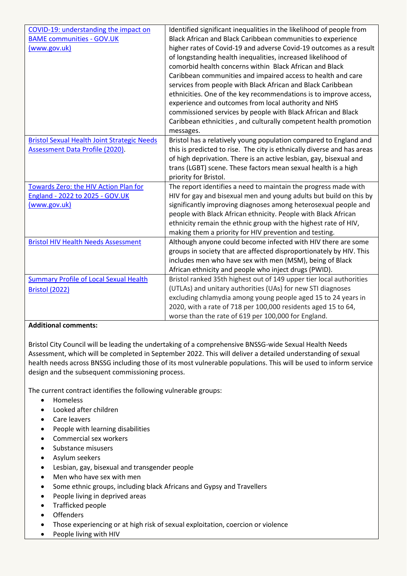| COVID-19: understanding the impact on              | Identified significant inequalities in the likelihood of people from    |
|----------------------------------------------------|-------------------------------------------------------------------------|
| <b>BAME communities - GOV.UK</b>                   | Black African and Black Caribbean communities to experience             |
| (www.gov.uk)                                       | higher rates of Covid-19 and adverse Covid-19 outcomes as a result      |
|                                                    | of longstanding health inequalities, increased likelihood of            |
|                                                    | comorbid health concerns within Black African and Black                 |
|                                                    | Caribbean communities and impaired access to health and care            |
|                                                    | services from people with Black African and Black Caribbean             |
|                                                    | ethnicities. One of the key recommendations is to improve access,       |
|                                                    | experience and outcomes from local authority and NHS                    |
|                                                    | commissioned services by people with Black African and Black            |
|                                                    | Caribbean ethnicities, and culturally competent health promotion        |
|                                                    | messages.                                                               |
| <b>Bristol Sexual Health Joint Strategic Needs</b> | Bristol has a relatively young population compared to England and       |
| <b>Assessment Data Profile (2020).</b>             | this is predicted to rise. The city is ethnically diverse and has areas |
|                                                    | of high deprivation. There is an active lesbian, gay, bisexual and      |
|                                                    | trans (LGBT) scene. These factors mean sexual health is a high          |
|                                                    | priority for Bristol.                                                   |
| Towards Zero: the HIV Action Plan for              | The report identifies a need to maintain the progress made with         |
| England - 2022 to 2025 - GOV.UK                    | HIV for gay and bisexual men and young adults but build on this by      |
| (www.gov.uk)                                       | significantly improving diagnoses among heterosexual people and         |
|                                                    | people with Black African ethnicity. People with Black African          |
|                                                    | ethnicity remain the ethnic group with the highest rate of HIV,         |
|                                                    |                                                                         |
|                                                    | making them a priority for HIV prevention and testing.                  |
| <b>Bristol HIV Health Needs Assessment</b>         | Although anyone could become infected with HIV there are some           |
|                                                    | groups in society that are affected disproportionately by HIV. This     |
|                                                    | includes men who have sex with men (MSM), being of Black                |
|                                                    | African ethnicity and people who inject drugs (PWID).                   |
| <b>Summary Profile of Local Sexual Health</b>      | Bristol ranked 35th highest out of 149 upper tier local authorities     |
| <b>Bristol (2022)</b>                              | (UTLAs) and unitary authorities (UAs) for new STI diagnoses             |
|                                                    | excluding chlamydia among young people aged 15 to 24 years in           |
|                                                    | 2020, with a rate of 718 per 100,000 residents aged 15 to 64,           |

#### **Additional comments:**

Bristol City Council will be leading the undertaking of a comprehensive BNSSG-wide Sexual Health Needs Assessment, which will be completed in September 2022. This will deliver a detailed understanding of sexual health needs across BNSSG including those of its most vulnerable populations. This will be used to inform service design and the subsequent commissioning process.

The current contract identifies the following vulnerable groups:

- Homeless
- Looked after children
- Care leavers
- People with learning disabilities
- Commercial sex workers
- Substance misusers
- Asylum seekers
- Lesbian, gay, bisexual and transgender people
- Men who have sex with men
- Some ethnic groups, including black Africans and Gypsy and Travellers
- People living in deprived areas
- Trafficked people
- Offenders
- Those experiencing or at high risk of sexual exploitation, coercion or violence
- People living with HIV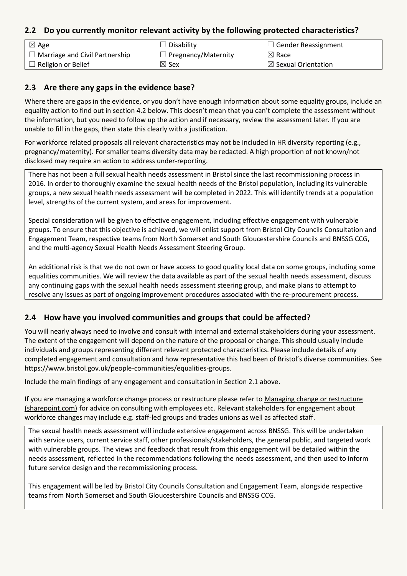#### **2.2 Do you currently monitor relevant activity by the following protected characteristics?**

| $\boxtimes$ Age                       | $\Box$ Disability          | $\Box$ Gender Reassignment     |
|---------------------------------------|----------------------------|--------------------------------|
| $\Box$ Marriage and Civil Partnership | $\Box$ Pregnancy/Maternity | $\boxtimes$ Race               |
| $\Box$ Religion or Belief             | $\boxtimes$ Sex            | $\boxtimes$ Sexual Orientation |

#### **2.3 Are there any gaps in the evidence base?**

Where there are gaps in the evidence, or you don't have enough information about some equality groups, include an equality action to find out in section 4.2 below. This doesn't mean that you can't complete the assessment without the information, but you need to follow up the action and if necessary, review the assessment later. If you are unable to fill in the gaps, then state this clearly with a justification.

For workforce related proposals all relevant characteristics may not be included in HR diversity reporting (e.g., pregnancy/maternity). For smaller teams diversity data may be redacted. A high proportion of not known/not disclosed may require an action to address under-reporting.

There has not been a full sexual health needs assessment in Bristol since the last recommissioning process in 2016. In order to thoroughly examine the sexual health needs of the Bristol population, including its vulnerable groups, a new sexual health needs assessment will be completed in 2022. This will identify trends at a population level, strengths of the current system, and areas for improvement.

Special consideration will be given to effective engagement, including effective engagement with vulnerable groups. To ensure that this objective is achieved, we will enlist support from Bristol City Councils Consultation and Engagement Team, respective teams from North Somerset and South Gloucestershire Councils and BNSSG CCG, and the multi-agency Sexual Health Needs Assessment Steering Group.

An additional risk is that we do not own or have access to good quality local data on some groups, including some equalities communities. We will review the data available as part of the sexual health needs assessment, discuss any continuing gaps with the sexual health needs assessment steering group, and make plans to attempt to resolve any issues as part of ongoing improvement procedures associated with the re-procurement process.

## **2.4 How have you involved communities and groups that could be affected?**

You will nearly always need to involve and consult with internal and external stakeholders during your assessment. The extent of the engagement will depend on the nature of the proposal or change. This should usually include individuals and groups representing different relevant protected characteristics. Please include details of any completed engagement and consultation and how representative this had been of Bristol's diverse communities. See [https://www.bristol.gov.uk/people-communities/equalities-groups.](https://www.bristol.gov.uk/people-communities/equalities-groups)

Include the main findings of any engagement and consultation in Section 2.1 above.

If you are managing a workforce change process or restructure please refer to [Managing change or restructure](https://bristolcouncil.sharepoint.com/sites/HR/SitePages/managing-change-or-restructure.aspx)  [\(sharepoint.com\)](https://bristolcouncil.sharepoint.com/sites/HR/SitePages/managing-change-or-restructure.aspx) for advice on consulting with employees etc. Relevant stakeholders for engagement about workforce changes may include e.g. staff-led groups and trades unions as well as affected staff.

The sexual health needs assessment will include extensive engagement across BNSSG. This will be undertaken with service users, current service staff, other professionals/stakeholders, the general public, and targeted work with vulnerable groups. The views and feedback that result from this engagement will be detailed within the needs assessment, reflected in the recommendations following the needs assessment, and then used to inform future service design and the recommissioning process.

This engagement will be led by Bristol City Councils Consultation and Engagement Team, alongside respective teams from North Somerset and South Gloucestershire Councils and BNSSG CCG.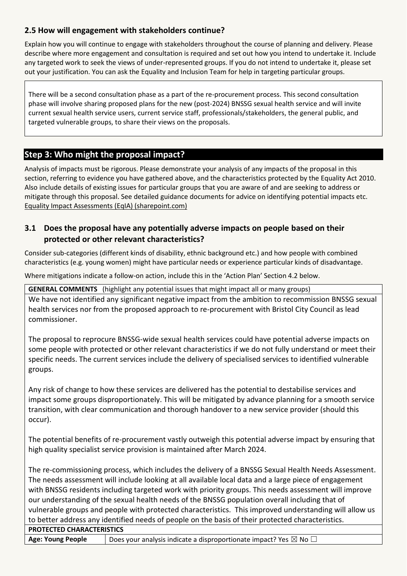# **2.5 How will engagement with stakeholders continue?**

Explain how you will continue to engage with stakeholders throughout the course of planning and delivery. Please describe where more engagement and consultation is required and set out how you intend to undertake it. Include any targeted work to seek the views of under-represented groups. If you do not intend to undertake it, please set out your justification. You can ask the Equality and Inclusion Team for help in targeting particular groups.

There will be a second consultation phase as a part of the re-procurement process. This second consultation phase will involve sharing proposed plans for the new (post-2024) BNSSG sexual health service and will invite current sexual health service users, current service staff, professionals/stakeholders, the general public, and targeted vulnerable groups, to share their views on the proposals.

# **Step 3: Who might the proposal impact?**

Analysis of impacts must be rigorous. Please demonstrate your analysis of any impacts of the proposal in this section, referring to evidence you have gathered above, and the characteristics protected by the Equality Act 2010. Also include details of existing issues for particular groups that you are aware of and are seeking to address or mitigate through this proposal. See detailed guidance documents for advice on identifying potential impacts etc. [Equality Impact Assessments \(EqIA\) \(sharepoint.com\)](https://bristolcouncil.sharepoint.com/sites/Corporate/SitePages/equality-impact-assessments.aspx)

## **3.1 Does the proposal have any potentially adverse impacts on people based on their protected or other relevant characteristics?**

Consider sub-categories (different kinds of disability, ethnic background etc.) and how people with combined characteristics (e.g. young women) might have particular needs or experience particular kinds of disadvantage.

Where mitigations indicate a follow-on action, include this in the 'Action Plan' Section 4.2 below.

**GENERAL COMMENTS** (highlight any potential issues that might impact all or many groups)

We have not identified any significant negative impact from the ambition to recommission BNSSG sexual health services nor from the proposed approach to re-procurement with Bristol City Council as lead commissioner.

The proposal to reprocure BNSSG-wide sexual health services could have potential adverse impacts on some people with protected or other relevant characteristics if we do not fully understand or meet their specific needs. The current services include the delivery of specialised services to identified vulnerable groups.

Any risk of change to how these services are delivered has the potential to destabilise services and impact some groups disproportionately. This will be mitigated by advance planning for a smooth service transition, with clear communication and thorough handover to a new service provider (should this occur).

The potential benefits of re-procurement vastly outweigh this potential adverse impact by ensuring that high quality specialist service provision is maintained after March 2024.

The re-commissioning process, which includes the delivery of a BNSSG Sexual Health Needs Assessment. The needs assessment will include looking at all available local data and a large piece of engagement with BNSSG residents including targeted work with priority groups. This needs assessment will improve our understanding of the sexual health needs of the BNSSG population overall including that of vulnerable groups and people with protected characteristics. This improved understanding will allow us to better address any identified needs of people on the basis of their protected characteristics.

**PROTECTED CHARACTERISTICS**

**Age: Young People**  $\Box$  Does your analysis indicate a disproportionate impact? Yes  $\boxtimes$  No  $\Box$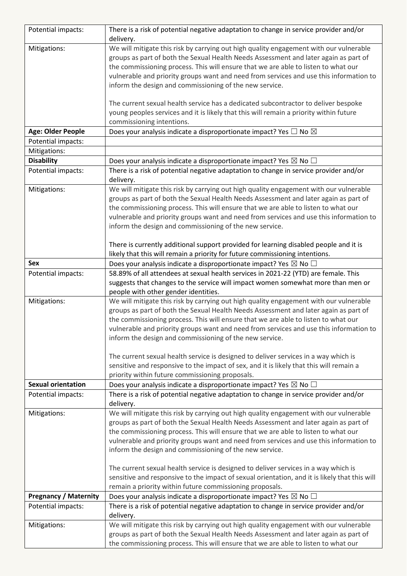| Potential impacts:           | There is a risk of potential negative adaptation to change in service provider and/or              |
|------------------------------|----------------------------------------------------------------------------------------------------|
|                              | delivery.                                                                                          |
| Mitigations:                 | We will mitigate this risk by carrying out high quality engagement with our vulnerable             |
|                              | groups as part of both the Sexual Health Needs Assessment and later again as part of               |
|                              | the commissioning process. This will ensure that we are able to listen to what our                 |
|                              | vulnerable and priority groups want and need from services and use this information to             |
|                              | inform the design and commissioning of the new service.                                            |
|                              |                                                                                                    |
|                              | The current sexual health service has a dedicated subcontractor to deliver bespoke                 |
|                              | young peoples services and it is likely that this will remain a priority within future             |
|                              | commissioning intentions.                                                                          |
| Age: Older People            | Does your analysis indicate a disproportionate impact? Yes $\Box$ No $\boxtimes$                   |
| Potential impacts:           |                                                                                                    |
| Mitigations:                 |                                                                                                    |
| <b>Disability</b>            | Does your analysis indicate a disproportionate impact? Yes $\boxtimes$ No $\Box$                   |
| Potential impacts:           | There is a risk of potential negative adaptation to change in service provider and/or<br>delivery. |
| Mitigations:                 | We will mitigate this risk by carrying out high quality engagement with our vulnerable             |
|                              | groups as part of both the Sexual Health Needs Assessment and later again as part of               |
|                              | the commissioning process. This will ensure that we are able to listen to what our                 |
|                              | vulnerable and priority groups want and need from services and use this information to             |
|                              | inform the design and commissioning of the new service.                                            |
|                              |                                                                                                    |
|                              | There is currently additional support provided for learning disabled people and it is              |
|                              | likely that this will remain a priority for future commissioning intentions.                       |
| Sex                          | Does your analysis indicate a disproportionate impact? Yes $\boxtimes$ No $\Box$                   |
| Potential impacts:           | 58.89% of all attendees at sexual health services in 2021-22 (YTD) are female. This                |
|                              | suggests that changes to the service will impact women somewhat more than men or                   |
|                              | people with other gender identities.                                                               |
|                              | We will mitigate this risk by carrying out high quality engagement with our vulnerable             |
| Mitigations:                 |                                                                                                    |
|                              | groups as part of both the Sexual Health Needs Assessment and later again as part of               |
|                              | the commissioning process. This will ensure that we are able to listen to what our                 |
|                              | vulnerable and priority groups want and need from services and use this information to             |
|                              | inform the design and commissioning of the new service.                                            |
|                              | The current sexual health service is designed to deliver services in a way which is                |
|                              | sensitive and responsive to the impact of sex, and it is likely that this will remain a            |
|                              | priority within future commissioning proposals.                                                    |
| <b>Sexual orientation</b>    | Does your analysis indicate a disproportionate impact? Yes $\boxtimes$ No $\Box$                   |
| Potential impacts:           | There is a risk of potential negative adaptation to change in service provider and/or              |
|                              | delivery.                                                                                          |
| Mitigations:                 | We will mitigate this risk by carrying out high quality engagement with our vulnerable             |
|                              | groups as part of both the Sexual Health Needs Assessment and later again as part of               |
|                              | the commissioning process. This will ensure that we are able to listen to what our                 |
|                              | vulnerable and priority groups want and need from services and use this information to             |
|                              | inform the design and commissioning of the new service.                                            |
|                              |                                                                                                    |
|                              | The current sexual health service is designed to deliver services in a way which is                |
|                              | sensitive and responsive to the impact of sexual orientation, and it is likely that this will      |
|                              | remain a priority within future commissioning proposals.                                           |
| <b>Pregnancy / Maternity</b> | Does your analysis indicate a disproportionate impact? Yes $\boxtimes$ No $\Box$                   |
| Potential impacts:           | There is a risk of potential negative adaptation to change in service provider and/or              |
|                              | delivery.                                                                                          |
| Mitigations:                 | We will mitigate this risk by carrying out high quality engagement with our vulnerable             |
|                              | groups as part of both the Sexual Health Needs Assessment and later again as part of               |
|                              | the commissioning process. This will ensure that we are able to listen to what our                 |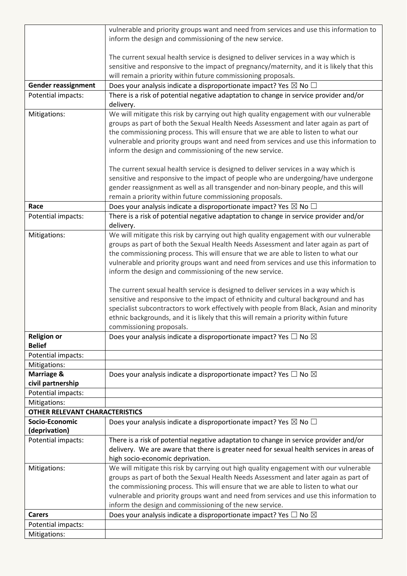|                                       | vulnerable and priority groups want and need from services and use this information to                                                                                                                                                                                                                                                                                                                                    |
|---------------------------------------|---------------------------------------------------------------------------------------------------------------------------------------------------------------------------------------------------------------------------------------------------------------------------------------------------------------------------------------------------------------------------------------------------------------------------|
|                                       | inform the design and commissioning of the new service.                                                                                                                                                                                                                                                                                                                                                                   |
|                                       |                                                                                                                                                                                                                                                                                                                                                                                                                           |
|                                       | The current sexual health service is designed to deliver services in a way which is                                                                                                                                                                                                                                                                                                                                       |
|                                       | sensitive and responsive to the impact of pregnancy/maternity, and it is likely that this                                                                                                                                                                                                                                                                                                                                 |
|                                       | will remain a priority within future commissioning proposals.                                                                                                                                                                                                                                                                                                                                                             |
| <b>Gender reassignment</b>            | Does your analysis indicate a disproportionate impact? Yes $\boxtimes$ No $\Box$                                                                                                                                                                                                                                                                                                                                          |
| Potential impacts:                    | There is a risk of potential negative adaptation to change in service provider and/or<br>delivery.                                                                                                                                                                                                                                                                                                                        |
| Mitigations:                          | We will mitigate this risk by carrying out high quality engagement with our vulnerable<br>groups as part of both the Sexual Health Needs Assessment and later again as part of<br>the commissioning process. This will ensure that we are able to listen to what our                                                                                                                                                      |
|                                       | vulnerable and priority groups want and need from services and use this information to<br>inform the design and commissioning of the new service.                                                                                                                                                                                                                                                                         |
|                                       | The current sexual health service is designed to deliver services in a way which is<br>sensitive and responsive to the impact of people who are undergoing/have undergone<br>gender reassignment as well as all transgender and non-binary people, and this will                                                                                                                                                          |
|                                       | remain a priority within future commissioning proposals.                                                                                                                                                                                                                                                                                                                                                                  |
| Race                                  | Does your analysis indicate a disproportionate impact? Yes $\boxtimes$ No $\Box$                                                                                                                                                                                                                                                                                                                                          |
| Potential impacts:                    | There is a risk of potential negative adaptation to change in service provider and/or<br>delivery.                                                                                                                                                                                                                                                                                                                        |
| Mitigations:                          | We will mitigate this risk by carrying out high quality engagement with our vulnerable                                                                                                                                                                                                                                                                                                                                    |
|                                       | groups as part of both the Sexual Health Needs Assessment and later again as part of                                                                                                                                                                                                                                                                                                                                      |
|                                       | the commissioning process. This will ensure that we are able to listen to what our                                                                                                                                                                                                                                                                                                                                        |
|                                       | vulnerable and priority groups want and need from services and use this information to<br>inform the design and commissioning of the new service.                                                                                                                                                                                                                                                                         |
|                                       |                                                                                                                                                                                                                                                                                                                                                                                                                           |
|                                       | The current sexual health service is designed to deliver services in a way which is                                                                                                                                                                                                                                                                                                                                       |
|                                       | sensitive and responsive to the impact of ethnicity and cultural background and has                                                                                                                                                                                                                                                                                                                                       |
|                                       | specialist subcontractors to work effectively with people from Black, Asian and minority                                                                                                                                                                                                                                                                                                                                  |
|                                       | ethnic backgrounds, and it is likely that this will remain a priority within future                                                                                                                                                                                                                                                                                                                                       |
|                                       | commissioning proposals.                                                                                                                                                                                                                                                                                                                                                                                                  |
| <b>Religion or</b><br><b>Belief</b>   | Does your analysis indicate a disproportionate impact? Yes $\Box$ No $\boxtimes$                                                                                                                                                                                                                                                                                                                                          |
| Potential impacts:                    |                                                                                                                                                                                                                                                                                                                                                                                                                           |
| Mitigations:                          |                                                                                                                                                                                                                                                                                                                                                                                                                           |
| Marriage &                            | Does your analysis indicate a disproportionate impact? Yes $\Box$ No $\boxtimes$                                                                                                                                                                                                                                                                                                                                          |
| civil partnership                     |                                                                                                                                                                                                                                                                                                                                                                                                                           |
| Potential impacts:                    |                                                                                                                                                                                                                                                                                                                                                                                                                           |
| Mitigations:                          |                                                                                                                                                                                                                                                                                                                                                                                                                           |
| <b>OTHER RELEVANT CHARACTERISTICS</b> |                                                                                                                                                                                                                                                                                                                                                                                                                           |
| Socio-Economic<br>(deprivation)       | Does your analysis indicate a disproportionate impact? Yes $\boxtimes$ No $\Box$                                                                                                                                                                                                                                                                                                                                          |
| Potential impacts:                    | There is a risk of potential negative adaptation to change in service provider and/or                                                                                                                                                                                                                                                                                                                                     |
|                                       | delivery. We are aware that there is greater need for sexual health services in areas of                                                                                                                                                                                                                                                                                                                                  |
|                                       | high socio-economic deprivation.                                                                                                                                                                                                                                                                                                                                                                                          |
| Mitigations:                          | We will mitigate this risk by carrying out high quality engagement with our vulnerable<br>groups as part of both the Sexual Health Needs Assessment and later again as part of<br>the commissioning process. This will ensure that we are able to listen to what our<br>vulnerable and priority groups want and need from services and use this information to<br>inform the design and commissioning of the new service. |
| <b>Carers</b>                         | Does your analysis indicate a disproportionate impact? Yes $\Box$ No $\boxtimes$                                                                                                                                                                                                                                                                                                                                          |
| Potential impacts:                    |                                                                                                                                                                                                                                                                                                                                                                                                                           |
| Mitigations:                          |                                                                                                                                                                                                                                                                                                                                                                                                                           |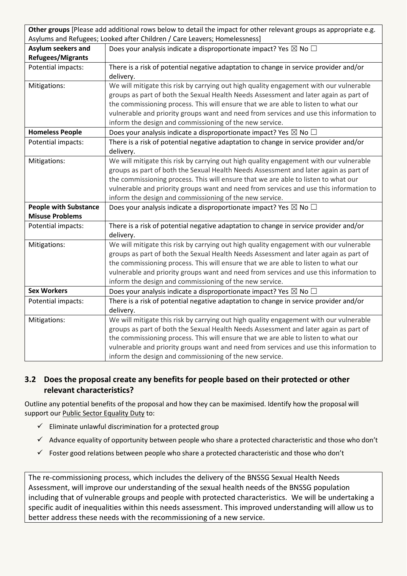| Other groups [Please add additional rows below to detail the impact for other relevant groups as appropriate e.g. |                                                                                        |  |  |
|-------------------------------------------------------------------------------------------------------------------|----------------------------------------------------------------------------------------|--|--|
| Asylums and Refugees; Looked after Children / Care Leavers; Homelessness]                                         |                                                                                        |  |  |
| <b>Asylum seekers and</b>                                                                                         | Does your analysis indicate a disproportionate impact? Yes $\boxtimes$ No $\Box$       |  |  |
| <b>Refugees/Migrants</b>                                                                                          |                                                                                        |  |  |
| Potential impacts:                                                                                                | There is a risk of potential negative adaptation to change in service provider and/or  |  |  |
|                                                                                                                   | delivery.                                                                              |  |  |
| Mitigations:                                                                                                      | We will mitigate this risk by carrying out high quality engagement with our vulnerable |  |  |
|                                                                                                                   | groups as part of both the Sexual Health Needs Assessment and later again as part of   |  |  |
|                                                                                                                   | the commissioning process. This will ensure that we are able to listen to what our     |  |  |
|                                                                                                                   | vulnerable and priority groups want and need from services and use this information to |  |  |
|                                                                                                                   | inform the design and commissioning of the new service.                                |  |  |
| <b>Homeless People</b>                                                                                            | Does your analysis indicate a disproportionate impact? Yes $\boxtimes$ No $\Box$       |  |  |
| Potential impacts:                                                                                                | There is a risk of potential negative adaptation to change in service provider and/or  |  |  |
|                                                                                                                   | delivery.                                                                              |  |  |
| Mitigations:                                                                                                      | We will mitigate this risk by carrying out high quality engagement with our vulnerable |  |  |
|                                                                                                                   | groups as part of both the Sexual Health Needs Assessment and later again as part of   |  |  |
|                                                                                                                   | the commissioning process. This will ensure that we are able to listen to what our     |  |  |
|                                                                                                                   | vulnerable and priority groups want and need from services and use this information to |  |  |
|                                                                                                                   | inform the design and commissioning of the new service.                                |  |  |
| <b>People with Substance</b>                                                                                      | Does your analysis indicate a disproportionate impact? Yes $\boxtimes$ No $\Box$       |  |  |
| <b>Misuse Problems</b>                                                                                            |                                                                                        |  |  |
| Potential impacts:                                                                                                | There is a risk of potential negative adaptation to change in service provider and/or  |  |  |
|                                                                                                                   | delivery.                                                                              |  |  |
| Mitigations:                                                                                                      | We will mitigate this risk by carrying out high quality engagement with our vulnerable |  |  |
|                                                                                                                   | groups as part of both the Sexual Health Needs Assessment and later again as part of   |  |  |
|                                                                                                                   | the commissioning process. This will ensure that we are able to listen to what our     |  |  |
|                                                                                                                   | vulnerable and priority groups want and need from services and use this information to |  |  |
|                                                                                                                   | inform the design and commissioning of the new service.                                |  |  |
| <b>Sex Workers</b>                                                                                                | Does your analysis indicate a disproportionate impact? Yes $\boxtimes$ No $\Box$       |  |  |
| Potential impacts:                                                                                                | There is a risk of potential negative adaptation to change in service provider and/or  |  |  |
|                                                                                                                   | delivery.                                                                              |  |  |
| Mitigations:                                                                                                      | We will mitigate this risk by carrying out high quality engagement with our vulnerable |  |  |
|                                                                                                                   | groups as part of both the Sexual Health Needs Assessment and later again as part of   |  |  |
|                                                                                                                   | the commissioning process. This will ensure that we are able to listen to what our     |  |  |
|                                                                                                                   | vulnerable and priority groups want and need from services and use this information to |  |  |
|                                                                                                                   | inform the design and commissioning of the new service.                                |  |  |

# **3.2 Does the proposal create any benefits for people based on their protected or other relevant characteristics?**

Outline any potential benefits of the proposal and how they can be maximised. Identify how the proposal will support our **Public Sector Equality Duty to:** 

- $\checkmark$  Eliminate unlawful discrimination for a protected group
- $\checkmark$  Advance equality of opportunity between people who share a protected characteristic and those who don't
- $\checkmark$  Foster good relations between people who share a protected characteristic and those who don't

The re-commissioning process, which includes the delivery of the BNSSG Sexual Health Needs Assessment, will improve our understanding of the sexual health needs of the BNSSG population including that of vulnerable groups and people with protected characteristics. We will be undertaking a specific audit of inequalities within this needs assessment. This improved understanding will allow us to better address these needs with the recommissioning of a new service.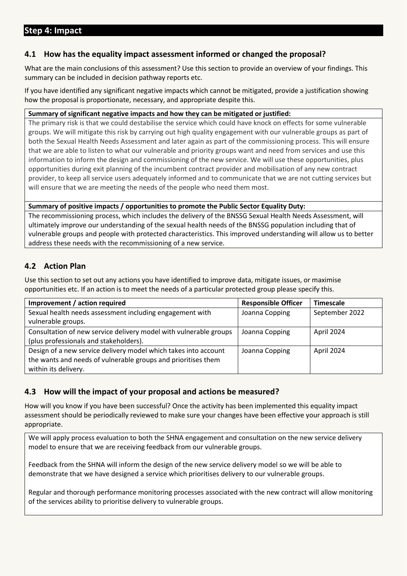#### **4.1 How has the equality impact assessment informed or changed the proposal?**

What are the main conclusions of this assessment? Use this section to provide an overview of your findings. This summary can be included in decision pathway reports etc.

If you have identified any significant negative impacts which cannot be mitigated, provide a justification showing how the proposal is proportionate, necessary, and appropriate despite this.

#### **Summary of significant negative impacts and how they can be mitigated or justified:**

The primary risk is that we could destabilise the service which could have knock on effects for some vulnerable groups. We will mitigate this risk by carrying out high quality engagement with our vulnerable groups as part of both the Sexual Health Needs Assessment and later again as part of the commissioning process. This will ensure that we are able to listen to what our vulnerable and priority groups want and need from services and use this information to inform the design and commissioning of the new service. We will use these opportunities, plus opportunities during exit planning of the incumbent contract provider and mobilisation of any new contract provider, to keep all service users adequately informed and to communicate that we are not cutting services but will ensure that we are meeting the needs of the people who need them most.

#### **Summary of positive impacts / opportunities to promote the Public Sector Equality Duty:**

The recommissioning process, which includes the delivery of the BNSSG Sexual Health Needs Assessment, will ultimately improve our understanding of the sexual health needs of the BNSSG population including that of vulnerable groups and people with protected characteristics. This improved understanding will allow us to better address these needs with the recommissioning of a new service.

#### **4.2 Action Plan**

Use this section to set out any actions you have identified to improve data, mitigate issues, or maximise opportunities etc. If an action is to meet the needs of a particular protected group please specify this.

| Improvement / action required                                     | <b>Responsible Officer</b> | <b>Timescale</b> |
|-------------------------------------------------------------------|----------------------------|------------------|
| Sexual health needs assessment including engagement with          | Joanna Copping             | September 2022   |
| vulnerable groups.                                                |                            |                  |
| Consultation of new service delivery model with vulnerable groups | Joanna Copping             | April 2024       |
| (plus professionals and stakeholders).                            |                            |                  |
| Design of a new service delivery model which takes into account   | Joanna Copping             | April 2024       |
| the wants and needs of vulnerable groups and prioritises them     |                            |                  |
| within its delivery.                                              |                            |                  |

#### **4.3 How will the impact of your proposal and actions be measured?**

How will you know if you have been successful? Once the activity has been implemented this equality impact assessment should be periodically reviewed to make sure your changes have been effective your approach is still appropriate.

We will apply process evaluation to both the SHNA engagement and consultation on the new service delivery model to ensure that we are receiving feedback from our vulnerable groups.

Feedback from the SHNA will inform the design of the new service delivery model so we will be able to demonstrate that we have designed a service which prioritises delivery to our vulnerable groups.

Regular and thorough performance monitoring processes associated with the new contract will allow monitoring of the services ability to prioritise delivery to vulnerable groups.